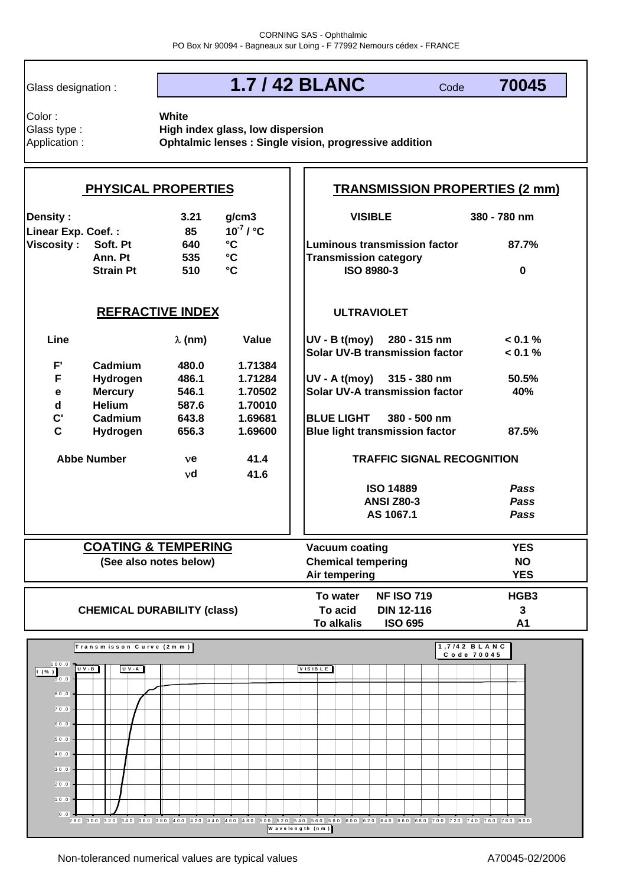Glass designation :

# **1.7 / 42 BLANC**

Code **70045**

Color : Glass type :

Application : **Ophtalmic lenses : Single vision, progressive addition White High index glass, low dispersion**

| <b>PHYSICAL PROPERTIES</b>                     |                             |                |                                   | <b>TRANSMISSION PROPERTIES (2 mm)</b>          |                                       |                            |  |
|------------------------------------------------|-----------------------------|----------------|-----------------------------------|------------------------------------------------|---------------------------------------|----------------------------|--|
| <b>Density:</b><br>Linear Exp. Coef.:          |                             | 3.21<br>85     | g/cm3<br>$10^{-7}$ / $^{\circ}$ C |                                                | <b>VISIBLE</b>                        | 380 - 780 nm               |  |
| <b>Viscosity:</b>                              | Soft. Pt                    | 640            | $\rm ^{\circ}C$                   | Luminous transmission factor                   |                                       | 87.7%                      |  |
|                                                | Ann. Pt<br><b>Strain Pt</b> | 535<br>510     | $\mathbf{C}$<br>$\circ$ C         | <b>Transmission category</b>                   | ISO 8980-3                            | $\bf{0}$                   |  |
| <b>REFRACTIVE INDEX</b>                        |                             |                |                                   | <b>ULTRAVIOLET</b>                             |                                       |                            |  |
| Line                                           |                             | $\lambda$ (nm) | Value                             |                                                | $UV - B t (moy)$ 280 - 315 nm         | < 0.1 %                    |  |
|                                                |                             |                |                                   |                                                | <b>Solar UV-B transmission factor</b> | $< 0.1 \%$                 |  |
| F'<br>F                                        | Cadmium<br>Hydrogen         | 480.0<br>486.1 | 1.71384<br>1.71284                |                                                | UV - A t(moy) 315 - 380 nm            | 50.5%                      |  |
| $\mathbf e$                                    | <b>Mercury</b>              | 546.1          | 1.70502                           |                                                | <b>Solar UV-A transmission factor</b> | 40%                        |  |
| $\mathbf d$                                    | <b>Helium</b>               | 587.6          | 1.70010                           |                                                |                                       |                            |  |
| $\mathbf{C}^{\prime}$                          | Cadmium                     | 643.8          | 1.69681                           | <b>BLUE LIGHT</b><br>380 - 500 nm              |                                       |                            |  |
| $\mathbf{C}$                                   | Hydrogen                    | 656.3          | 1.69600                           | <b>Blue light transmission factor</b><br>87.5% |                                       |                            |  |
|                                                | <b>Abbe Number</b>          |                |                                   |                                                | <b>TRAFFIC SIGNAL RECOGNITION</b>     |                            |  |
| 41.4<br><b>ve</b><br>νd<br>41.6                |                             |                |                                   |                                                |                                       |                            |  |
|                                                |                             |                |                                   |                                                | <b>ISO 14889</b>                      | Pass                       |  |
|                                                |                             |                |                                   | <b>ANSI Z80-3</b>                              |                                       | Pass                       |  |
|                                                |                             |                |                                   | AS 1067.1<br>Pass                              |                                       |                            |  |
| <b>COATING &amp; TEMPERING</b>                 |                             |                |                                   | <b>Vacuum coating</b>                          |                                       | <b>YES</b>                 |  |
| (See also notes below)                         |                             |                |                                   | <b>Chemical tempering</b>                      |                                       | <b>NO</b>                  |  |
|                                                |                             |                |                                   | Air tempering                                  |                                       | <b>YES</b>                 |  |
|                                                |                             |                |                                   | To water                                       | <b>NF ISO 719</b>                     | HGB <sub>3</sub>           |  |
| <b>CHEMICAL DURABILITY (class)</b>             |                             |                |                                   | To acid                                        | <b>DIN 12-116</b>                     | $\overline{3}$             |  |
| To alkalis<br><b>ISO 695</b><br>A <sub>1</sub> |                             |                |                                   |                                                |                                       |                            |  |
| Transmisson Curve (2mm)                        |                             |                |                                   |                                                |                                       | 1,7/42 BLANC<br>Code 70045 |  |
| 100,0<br>$t$ (%)<br>90,0                       | $U V - B$<br><b>U V - A</b> |                |                                   | VISIBLE                                        |                                       |                            |  |
| 80,0                                           |                             |                |                                   |                                                |                                       |                            |  |
| 70,0                                           |                             |                |                                   |                                                |                                       |                            |  |
| 60,0                                           |                             |                |                                   |                                                |                                       |                            |  |
| 50,0                                           |                             |                |                                   |                                                |                                       |                            |  |
| 40,0                                           |                             |                |                                   |                                                |                                       |                            |  |
| 30,0                                           |                             |                |                                   |                                                |                                       |                            |  |
| 20,0                                           |                             |                |                                   |                                                |                                       |                            |  |
| 10,0                                           |                             |                |                                   |                                                |                                       |                            |  |

280 300 320 340 360 380 400 420 440 460 480 500 520 540 560 580 600 620 640 660 680 700 720 740 760 780 800 **W a v e le n g th (n m )**

 $0,0$